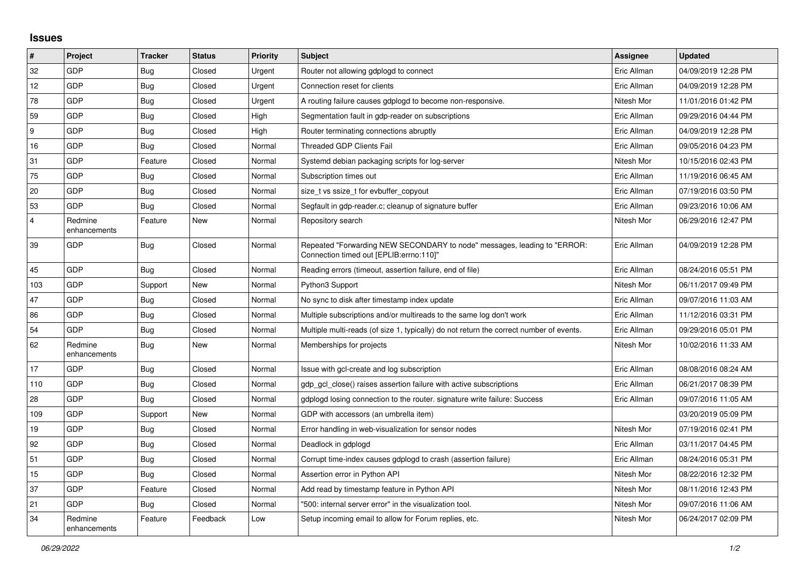## **Issues**

| $\vert$ #      | Project                 | <b>Tracker</b> | <b>Status</b> | <b>Priority</b> | <b>Subject</b>                                                                                                      | <b>Assignee</b> | <b>Updated</b>      |
|----------------|-------------------------|----------------|---------------|-----------------|---------------------------------------------------------------------------------------------------------------------|-----------------|---------------------|
| 32             | GDP                     | <b>Bug</b>     | Closed        | Urgent          | Router not allowing gdplogd to connect                                                                              | Eric Allman     | 04/09/2019 12:28 PM |
| 12             | GDP                     | <b>Bug</b>     | Closed        | Urgent          | Connection reset for clients                                                                                        | Eric Allman     | 04/09/2019 12:28 PM |
| 78             | GDP                     | Bug            | Closed        | Urgent          | A routing failure causes gdplogd to become non-responsive.                                                          | Nitesh Mor      | 11/01/2016 01:42 PM |
| 59             | GDP                     | Bug            | Closed        | High            | Segmentation fault in gdp-reader on subscriptions                                                                   | Eric Allman     | 09/29/2016 04:44 PM |
| 9              | GDP                     | Bug            | Closed        | High            | Router terminating connections abruptly                                                                             | Eric Allman     | 04/09/2019 12:28 PM |
| 16             | GDP                     | Bug            | Closed        | Normal          | <b>Threaded GDP Clients Fail</b>                                                                                    | Eric Allman     | 09/05/2016 04:23 PM |
| 31             | <b>GDP</b>              | Feature        | Closed        | Normal          | Systemd debian packaging scripts for log-server                                                                     | Nitesh Mor      | 10/15/2016 02:43 PM |
| 75             | GDP                     | Bug            | Closed        | Normal          | Subscription times out                                                                                              | Eric Allman     | 11/19/2016 06:45 AM |
| 20             | GDP                     | <b>Bug</b>     | Closed        | Normal          | size t vs ssize t for evbuffer copyout                                                                              | Eric Allman     | 07/19/2016 03:50 PM |
| 53             | <b>GDP</b>              | <b>Bug</b>     | Closed        | Normal          | Segfault in gdp-reader.c; cleanup of signature buffer                                                               | Eric Allman     | 09/23/2016 10:06 AM |
| $\overline{4}$ | Redmine<br>enhancements | Feature        | <b>New</b>    | Normal          | Repository search                                                                                                   | Nitesh Mor      | 06/29/2016 12:47 PM |
| 39             | GDP                     | <b>Bug</b>     | Closed        | Normal          | Repeated "Forwarding NEW SECONDARY to node" messages, leading to "ERROR:<br>Connection timed out [EPLIB:errno:110]" | Eric Allman     | 04/09/2019 12:28 PM |
| 45             | <b>GDP</b>              | <b>Bug</b>     | Closed        | Normal          | Reading errors (timeout, assertion failure, end of file)                                                            | Eric Allman     | 08/24/2016 05:51 PM |
| 103            | GDP                     | Support        | <b>New</b>    | Normal          | Python3 Support                                                                                                     | Nitesh Mor      | 06/11/2017 09:49 PM |
| 47             | GDP                     | Bug            | Closed        | Normal          | No sync to disk after timestamp index update                                                                        | Eric Allman     | 09/07/2016 11:03 AM |
| 86             | GDP                     | Bug            | Closed        | Normal          | Multiple subscriptions and/or multireads to the same log don't work                                                 | Eric Allman     | 11/12/2016 03:31 PM |
| 54             | <b>GDP</b>              | Bug            | Closed        | Normal          | Multiple multi-reads (of size 1, typically) do not return the correct number of events.                             | Eric Allman     | 09/29/2016 05:01 PM |
| 62             | Redmine<br>enhancements | Bug            | New           | Normal          | Memberships for projects                                                                                            | Nitesh Mor      | 10/02/2016 11:33 AM |
| 17             | GDP                     | Bug            | Closed        | Normal          | Issue with gcl-create and log subscription                                                                          | Eric Allman     | 08/08/2016 08:24 AM |
| 110            | GDP                     | <b>Bug</b>     | Closed        | Normal          | gdp gcl close() raises assertion failure with active subscriptions                                                  | Eric Allman     | 06/21/2017 08:39 PM |
| 28             | GDP                     | Bug            | Closed        | Normal          | gdplogd losing connection to the router. signature write failure: Success                                           | Eric Allman     | 09/07/2016 11:05 AM |
| 109            | <b>GDP</b>              | Support        | New           | Normal          | GDP with accessors (an umbrella item)                                                                               |                 | 03/20/2019 05:09 PM |
| 19             | <b>GDP</b>              | <b>Bug</b>     | Closed        | Normal          | Error handling in web-visualization for sensor nodes                                                                | Nitesh Mor      | 07/19/2016 02:41 PM |
| 92             | GDP                     | <b>Bug</b>     | Closed        | Normal          | Deadlock in gdplogd                                                                                                 | Eric Allman     | 03/11/2017 04:45 PM |
| 51             | <b>GDP</b>              | Bug            | Closed        | Normal          | Corrupt time-index causes gdplogd to crash (assertion failure)                                                      | Eric Allman     | 08/24/2016 05:31 PM |
| 15             | GDP                     | Bug            | Closed        | Normal          | Assertion error in Python API                                                                                       | Nitesh Mor      | 08/22/2016 12:32 PM |
| 37             | GDP                     | Feature        | Closed        | Normal          | Add read by timestamp feature in Python API                                                                         | Nitesh Mor      | 08/11/2016 12:43 PM |
| 21             | <b>GDP</b>              | Bug            | Closed        | Normal          | "500: internal server error" in the visualization tool.                                                             | Nitesh Mor      | 09/07/2016 11:06 AM |
| 34             | Redmine<br>enhancements | Feature        | Feedback      | Low             | Setup incoming email to allow for Forum replies, etc.                                                               | Nitesh Mor      | 06/24/2017 02:09 PM |